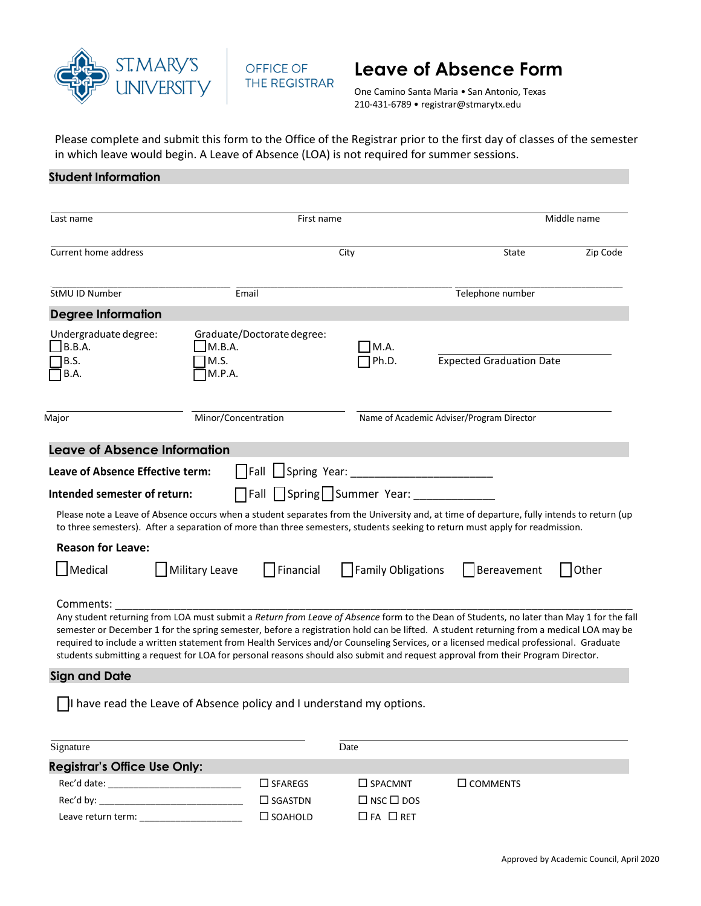



# **Leave of Absence Form**

One Camino Santa Maria • San Antonio, Texas 210-431-6789 • registrar@stmarytx.edu

Please complete and submit this form to the Office of the Registrar prior to the first day of classes of the semester in which leave would begin. A Leave of Absence (LOA) is not required for summer sessions.

# **Student Information**

| Last name                                                                                                                                                   | First name                                                                                                                                                                                                                                                                                                                                                                                                                                                                                                                                                                                              |                                                             |                                           | Middle name |  |
|-------------------------------------------------------------------------------------------------------------------------------------------------------------|---------------------------------------------------------------------------------------------------------------------------------------------------------------------------------------------------------------------------------------------------------------------------------------------------------------------------------------------------------------------------------------------------------------------------------------------------------------------------------------------------------------------------------------------------------------------------------------------------------|-------------------------------------------------------------|-------------------------------------------|-------------|--|
| Current home address                                                                                                                                        |                                                                                                                                                                                                                                                                                                                                                                                                                                                                                                                                                                                                         | City                                                        |                                           | Zip Code    |  |
| StMU ID Number                                                                                                                                              | Email                                                                                                                                                                                                                                                                                                                                                                                                                                                                                                                                                                                                   |                                                             | Telephone number                          |             |  |
| <b>Degree Information</b>                                                                                                                                   |                                                                                                                                                                                                                                                                                                                                                                                                                                                                                                                                                                                                         |                                                             |                                           |             |  |
| Undergraduate degree:<br>$\Box$ B.B.A.<br>B.S.<br>B.A.                                                                                                      | Graduate/Doctorate degree:<br>M.B.A.<br>M.S.<br>M.P.A.                                                                                                                                                                                                                                                                                                                                                                                                                                                                                                                                                  | M.A.<br>Ph.D.                                               | <b>Expected Graduation Date</b>           |             |  |
| Major                                                                                                                                                       | Minor/Concentration                                                                                                                                                                                                                                                                                                                                                                                                                                                                                                                                                                                     |                                                             | Name of Academic Adviser/Program Director |             |  |
| <b>Leave of Absence Information</b><br>Leave of Absence Effective term:<br>Intended semester of return:<br><b>Reason for Leave:</b><br>Medical<br>Comments: | Please note a Leave of Absence occurs when a student separates from the University and, at time of departure, fully intends to return (up<br>to three semesters). After a separation of more than three semesters, students seeking to return must apply for readmission.<br>Military Leave<br>$\vert$ Financial<br>Any student returning from LOA must submit a Return from Leave of Absence form to the Dean of Students, no later than May 1 for the fall<br>semester or December 1 for the spring semester, before a registration hold can be lifted. A student returning from a medical LOA may be | Fall Spring Summer Year: ________<br>    Family Obligations | Bereavement                               | Other       |  |
|                                                                                                                                                             | required to include a written statement from Health Services and/or Counseling Services, or a licensed medical professional. Graduate<br>students submitting a request for LOA for personal reasons should also submit and request approval from their Program Director.                                                                                                                                                                                                                                                                                                                                |                                                             |                                           |             |  |
| <b>Sign and Date</b>                                                                                                                                        |                                                                                                                                                                                                                                                                                                                                                                                                                                                                                                                                                                                                         |                                                             |                                           |             |  |
|                                                                                                                                                             | $\vert$ I have read the Leave of Absence policy and I understand my options.                                                                                                                                                                                                                                                                                                                                                                                                                                                                                                                            |                                                             |                                           |             |  |
| Signature                                                                                                                                                   |                                                                                                                                                                                                                                                                                                                                                                                                                                                                                                                                                                                                         | Date                                                        |                                           |             |  |
| <b>Registrar's Office Use Only:</b>                                                                                                                         |                                                                                                                                                                                                                                                                                                                                                                                                                                                                                                                                                                                                         |                                                             |                                           |             |  |
| Rec'd date:                                                                                                                                                 | $\Box$ SFAREGS                                                                                                                                                                                                                                                                                                                                                                                                                                                                                                                                                                                          | $\square$ SPACMNT                                           | $\Box$ COMMENTS                           |             |  |

 $Rec'$ d by:  $\Box$  SGASTDN  $\Box$  NSC  $\Box$  DOS Leave return term: \_\_\_\_\_\_\_\_\_\_\_\_\_\_\_\_\_\_\_\_ SOAHOLD FA RET